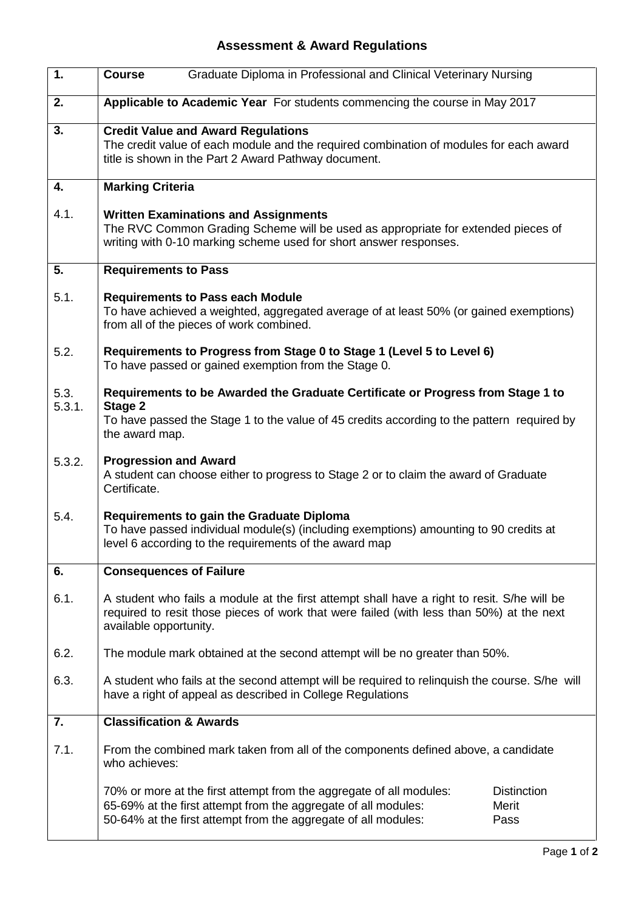## **Assessment & Award Regulations**

| 1.             | <b>Course</b>                                                                                                                                                                                                     | Graduate Diploma in Professional and Clinical Veterinary Nursing                                                                                                                                        |                                            |
|----------------|-------------------------------------------------------------------------------------------------------------------------------------------------------------------------------------------------------------------|---------------------------------------------------------------------------------------------------------------------------------------------------------------------------------------------------------|--------------------------------------------|
| 2.             | Applicable to Academic Year For students commencing the course in May 2017                                                                                                                                        |                                                                                                                                                                                                         |                                            |
| 3.             | <b>Credit Value and Award Regulations</b><br>The credit value of each module and the required combination of modules for each award<br>title is shown in the Part 2 Award Pathway document.                       |                                                                                                                                                                                                         |                                            |
| 4.             | <b>Marking Criteria</b>                                                                                                                                                                                           |                                                                                                                                                                                                         |                                            |
| 4.1.           | <b>Written Examinations and Assignments</b><br>The RVC Common Grading Scheme will be used as appropriate for extended pieces of<br>writing with 0-10 marking scheme used for short answer responses.              |                                                                                                                                                                                                         |                                            |
| 5.             | <b>Requirements to Pass</b>                                                                                                                                                                                       |                                                                                                                                                                                                         |                                            |
| 5.1.           | <b>Requirements to Pass each Module</b><br>To have achieved a weighted, aggregated average of at least 50% (or gained exemptions)<br>from all of the pieces of work combined.                                     |                                                                                                                                                                                                         |                                            |
| 5.2.           | Requirements to Progress from Stage 0 to Stage 1 (Level 5 to Level 6)<br>To have passed or gained exemption from the Stage 0.                                                                                     |                                                                                                                                                                                                         |                                            |
| 5.3.<br>5.3.1. | Requirements to be Awarded the Graduate Certificate or Progress from Stage 1 to<br>Stage 2<br>To have passed the Stage 1 to the value of 45 credits according to the pattern required by<br>the award map.        |                                                                                                                                                                                                         |                                            |
| 5.3.2.         | <b>Progression and Award</b><br>A student can choose either to progress to Stage 2 or to claim the award of Graduate<br>Certificate.                                                                              |                                                                                                                                                                                                         |                                            |
| 5.4.           | <b>Requirements to gain the Graduate Diploma</b><br>To have passed individual module(s) (including exemptions) amounting to 90 credits at<br>level 6 according to the requirements of the award map               |                                                                                                                                                                                                         |                                            |
| 6.             |                                                                                                                                                                                                                   | <b>Consequences of Failure</b>                                                                                                                                                                          |                                            |
| 6.1.           | A student who fails a module at the first attempt shall have a right to resit. S/he will be<br>required to resit those pieces of work that were failed (with less than 50%) at the next<br>available opportunity. |                                                                                                                                                                                                         |                                            |
| 6.2.           | The module mark obtained at the second attempt will be no greater than 50%.                                                                                                                                       |                                                                                                                                                                                                         |                                            |
| 6.3.           | A student who fails at the second attempt will be required to relinquish the course. S/he will<br>have a right of appeal as described in College Regulations                                                      |                                                                                                                                                                                                         |                                            |
| 7.             | <b>Classification &amp; Awards</b>                                                                                                                                                                                |                                                                                                                                                                                                         |                                            |
| 7.1.           | From the combined mark taken from all of the components defined above, a candidate<br>who achieves:                                                                                                               |                                                                                                                                                                                                         |                                            |
|                |                                                                                                                                                                                                                   | 70% or more at the first attempt from the aggregate of all modules:<br>65-69% at the first attempt from the aggregate of all modules:<br>50-64% at the first attempt from the aggregate of all modules: | <b>Distinction</b><br><b>Merit</b><br>Pass |